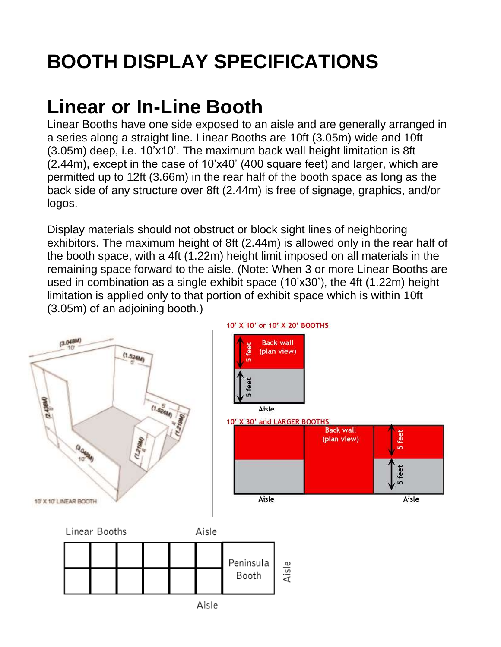### **Linear or In-Line Booth**

Linear Booths have one side exposed to an aisle and are generally arranged in a series along a straight line. Linear Booths are 10ft (3.05m) wide and 10ft (3.05m) deep, i.e. 10'x10'. The maximum back wall height limitation is 8ft (2.44m), except in the case of 10'x40' (400 square feet) and larger, which are permitted up to 12ft (3.66m) in the rear half of the booth space as long as the back side of any structure over 8ft (2.44m) is free of signage, graphics, and/or logos.

Display materials should not obstruct or block sight lines of neighboring exhibitors. The maximum height of 8ft (2.44m) is allowed only in the rear half of the booth space, with a 4ft (1.22m) height limit imposed on all materials in the remaining space forward to the aisle. (Note: When 3 or more Linear Booths are used in combination as a single exhibit space (10'x30'), the 4ft (1.22m) height limitation is applied only to that portion of exhibit space which is within 10ft (3.05m) of an adjoining booth.)

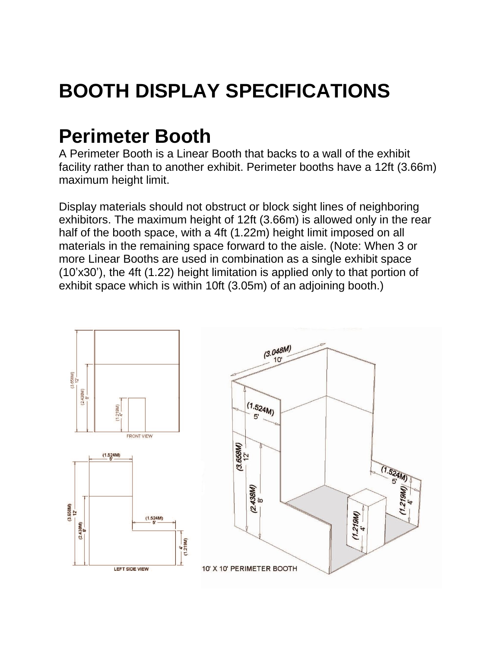#### **Perimeter Booth**

A Perimeter Booth is a Linear Booth that backs to a wall of the exhibit facility rather than to another exhibit. Perimeter booths have a 12ft (3.66m) maximum height limit.

Display materials should not obstruct or block sight lines of neighboring exhibitors. The maximum height of 12ft (3.66m) is allowed only in the rear half of the booth space, with a 4ft (1.22m) height limit imposed on all materials in the remaining space forward to the aisle. (Note: When 3 or more Linear Booths are used in combination as a single exhibit space (10'x30'), the 4ft (1.22) height limitation is applied only to that portion of exhibit space which is within 10ft (3.05m) of an adjoining booth.)

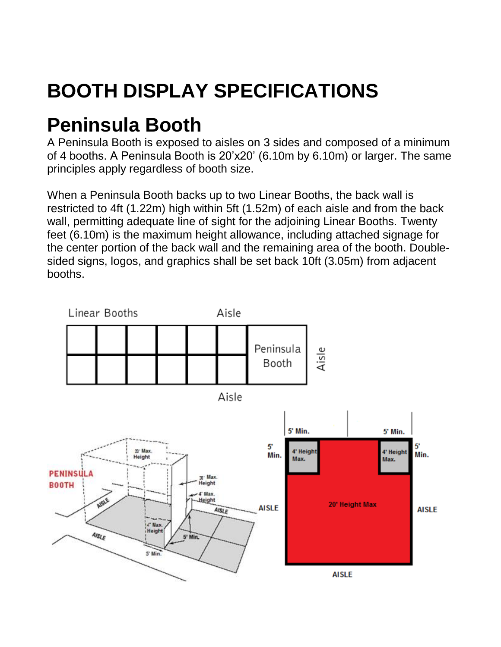#### **Peninsula Booth**

A Peninsula Booth is exposed to aisles on 3 sides and composed of a minimum of 4 booths. A Peninsula Booth is 20'x20' (6.10m by 6.10m) or larger. The same principles apply regardless of booth size.

When a Peninsula Booth backs up to two Linear Booths, the back wall is restricted to 4ft (1.22m) high within 5ft (1.52m) of each aisle and from the back wall, permitting adequate line of sight for the adjoining Linear Booths. Twenty feet (6.10m) is the maximum height allowance, including attached signage for the center portion of the back wall and the remaining area of the booth. Doublesided signs, logos, and graphics shall be set back 10ft (3.05m) from adjacent booths.

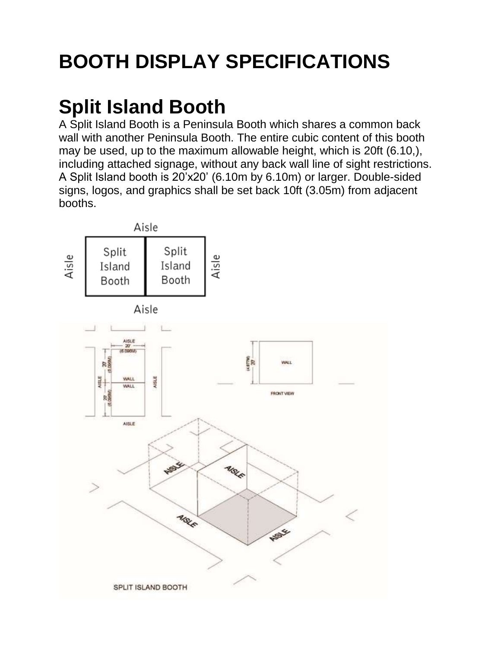### **Split Island Booth**

A Split Island Booth is a Peninsula Booth which shares a common back wall with another Peninsula Booth. The entire cubic content of this booth may be used, up to the maximum allowable height, which is 20ft (6.10,), including attached signage, without any back wall line of sight restrictions. A Split Island booth is 20'x20' (6.10m by 6.10m) or larger. Double-sided signs, logos, and graphics shall be set back 10ft (3.05m) from adjacent booths.